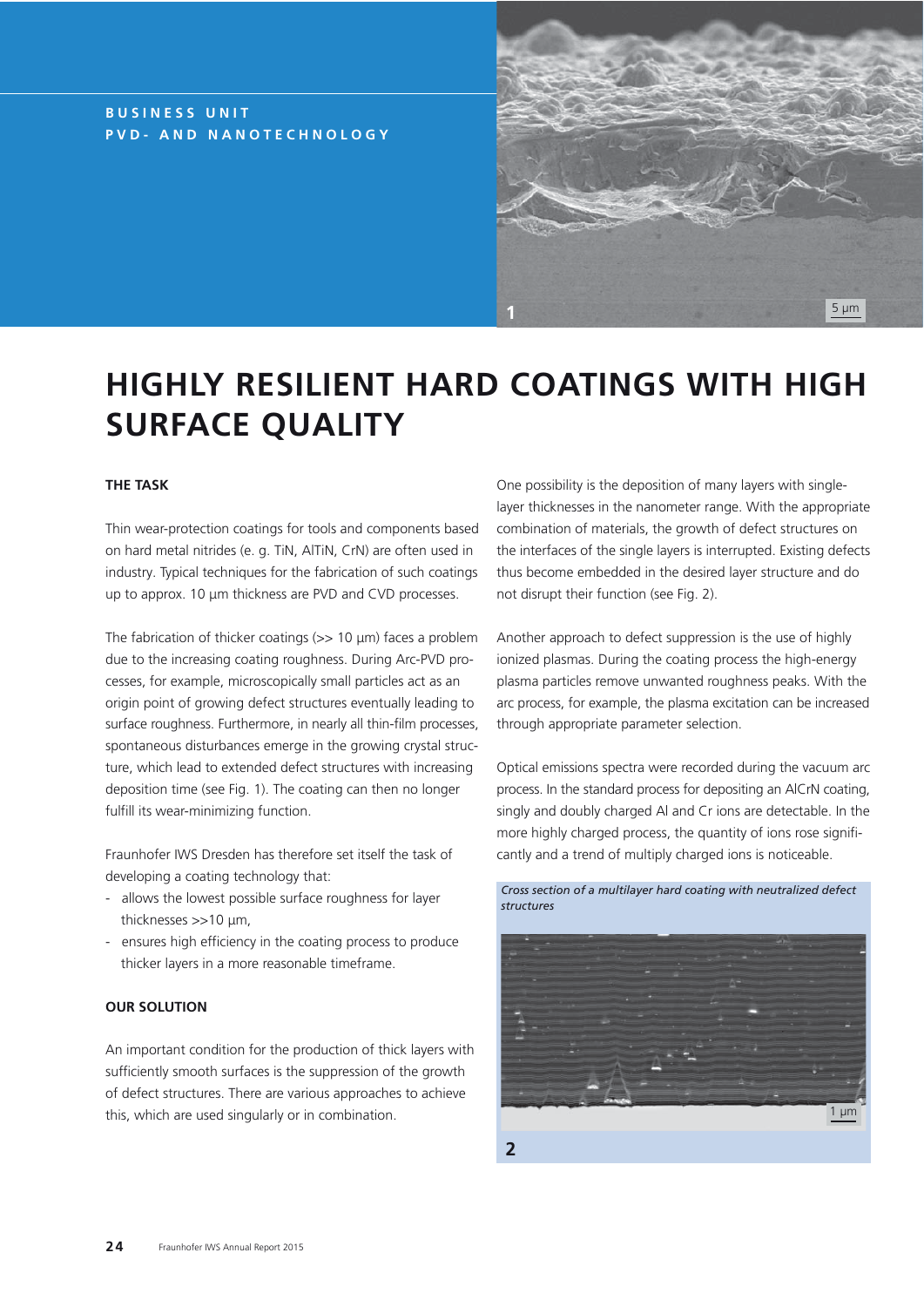## **BUSINESS UNIT PVD- AND NANOTECHNOLOGY**



# **HIGHLY RESILIENT HARD COATINGS WITH HIGH SURFACE QUALITY**

## **THE TASK**

Thin wear-protection coatings for tools and components based on hard metal nitrides (e. g. TiN, AlTiN, CrN) are often used in industry. Typical techniques for the fabrication of such coatings up to approx. 10 μm thickness are PVD and CVD processes.

The fabrication of thicker coatings ( $>> 10 \mu m$ ) faces a problem due to the increasing coating roughness. During Arc-PVD processes, for example, microscopically small particles act as an origin point of growing defect structures eventually leading to surface roughness. Furthermore, in nearly all thin-film processes, spontaneous disturbances emerge in the growing crystal structure, which lead to extended defect structures with increasing deposition time (see Fig. 1). The coating can then no longer fulfill its wear-minimizing function.

Fraunhofer IWS Dresden has therefore set itself the task of developing a coating technology that:

- allows the lowest possible surface roughness for layer thicknesses >>10 μm,
- ensures high efficiency in the coating process to produce thicker layers in a more reasonable timeframe.

#### **OUR SOLUTION**

An important condition for the production of thick layers with sufficiently smooth surfaces is the suppression of the growth of defect structures. There are various approaches to achieve this, which are used singularly or in combination.

One possibility is the deposition of many layers with singlelayer thicknesses in the nanometer range. With the appropriate combination of materials, the growth of defect structures on the interfaces of the single layers is interrupted. Existing defects thus become embedded in the desired layer structure and do not disrupt their function (see Fig. 2).

Another approach to defect suppression is the use of highly ionized plasmas. During the coating process the high-energy plasma particles remove unwanted roughness peaks. With the arc process, for example, the plasma excitation can be increased through appropriate parameter selection.

Optical emissions spectra were recorded during the vacuum arc process. In the standard process for depositing an AlCrN coating, singly and doubly charged Al and Cr ions are detectable. In the more highly charged process, the quantity of ions rose significantly and a trend of multiply charged ions is noticeable.

#### *Cross section of a multilayer hard coating with neutralized defect structures*



**2**